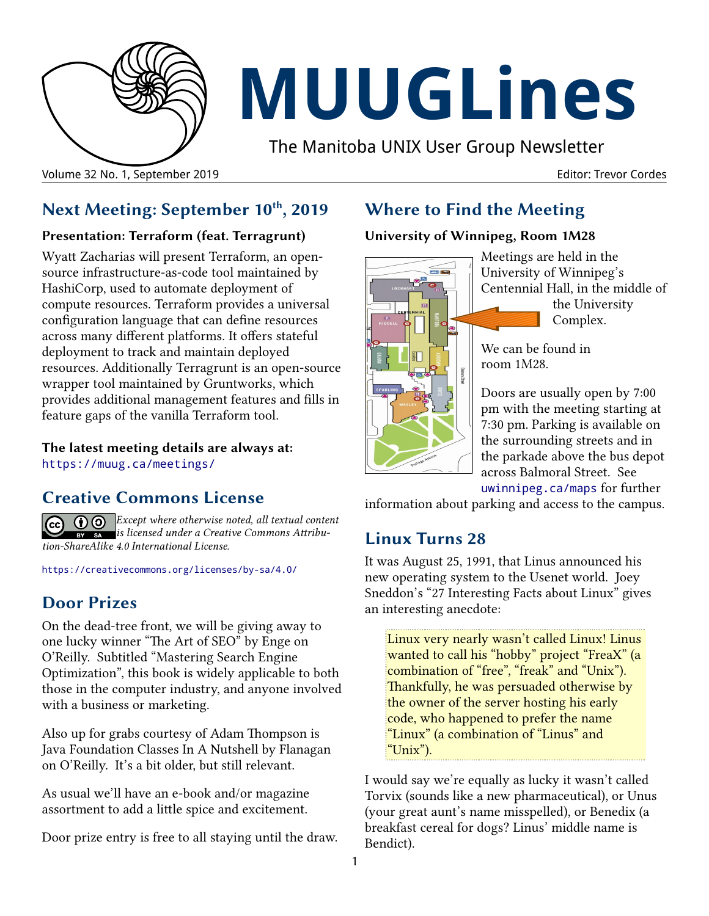

# **MUUGLines**

The Manitoba UNIX User Group Newsletter

Volume 32 No. 1, September 2019 Editor: Trevor Cordes

# **Next Meeting: September 10th, 2019**

#### **Presentation: Terraform (feat. Terragrunt)**

Wyatt Zacharias will present Terraform, an opensource infrastructure-as-code tool maintained by HashiCorp, used to automate deployment of compute resources. Terraform provides a universal configuration language that can define resources across many different platforms. It offers stateful deployment to track and maintain deployed resources. Additionally Terragrunt is an open-source wrapper tool maintained by Gruntworks, which provides additional management features and fills in feature gaps of the vanilla Terraform tool.

**The latest meeting details are always at:** [https://muug.ca/meetings/](https://www.muug.mb.ca/meetings/)

## **Creative Commons License**

*Except where otherwise noted, all textual content is licensed under a Creative Commons Attribution-ShareAlike 4.0 International License.*

<https://creativecommons.org/licenses/by-sa/4.0/>

# **Door Prizes**

On the dead-tree front, we will be giving away to one lucky winner "The Art of SEO" by Enge on O'Reilly. Subtitled "Mastering Search Engine Optimization", this book is widely applicable to both those in the computer industry, and anyone involved with a business or marketing.

Also up for grabs courtesy of Adam Thompson is Java Foundation Classes In A Nutshell by Flanagan on O'Reilly. It's a bit older, but still relevant.

As usual we'll have an e-book and/or magazine assortment to add a little spice and excitement.

Door prize entry is free to all staying until the draw.

# **Where to Find the Meeting**

#### **University of Winnipeg, Room 1M28**



Meetings are held in the University of Winnipeg's Centennial Hall, in the middle of the University Complex.

We can be found in room 1M28.

Doors are usually open by 7:00 pm with the meeting starting at 7:30 pm. Parking is available on the surrounding streets and in the parkade above the bus depot across Balmoral Street. See

[uwinnipeg.ca/maps](http://www.uwinnipeg.ca/maps) for further

information about parking and access to the campus.

## **Linux Turns 28**

It was August 25, 1991, that Linus announced his new operating system to the Usenet world. Joey Sneddon's "27 Interesting Facts about Linux" gives an interesting anecdote:

Linux very nearly wasn't called Linux! Linus wanted to call his "hobby" project "FreaX" (a combination of "free", "freak" and "Unix"). Thankfully, he was persuaded otherwise by the owner of the server hosting his early code, who happened to prefer the name "Linux" (a combination of "Linus" and "Unix").

I would say we're equally as lucky it wasn't called Torvix (sounds like a new pharmaceutical), or Unus (your great aunt's name misspelled), or Benedix (a breakfast cereal for dogs? Linus' middle name is Bendict).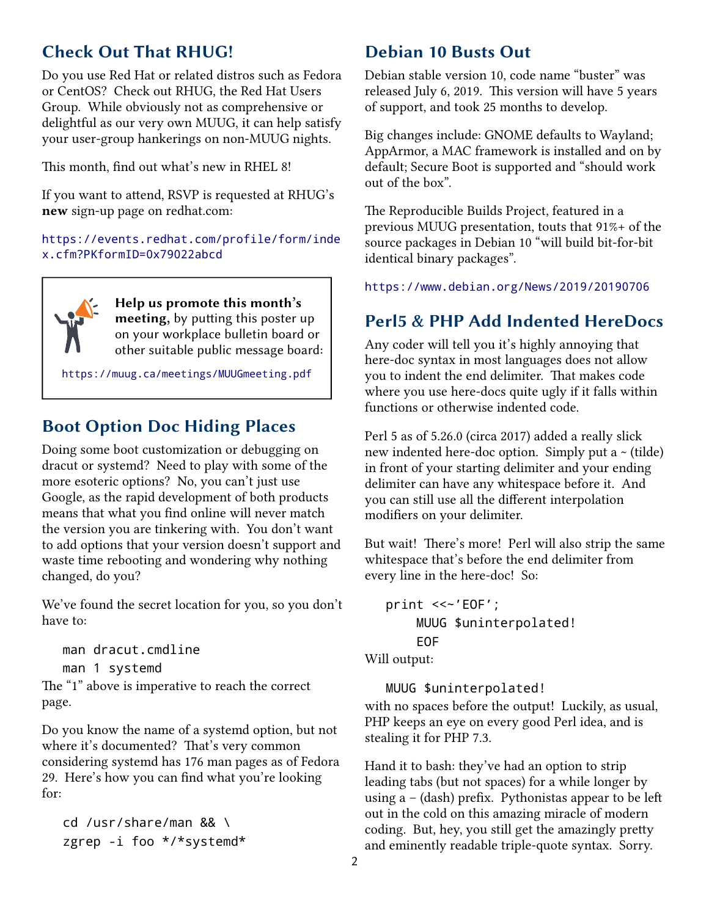## **Check Out That RHUG!**

Do you use Red Hat or related distros such as Fedora or CentOS? Check out RHUG, the Red Hat Users Group. While obviously not as comprehensive or delightful as our very own MUUG, it can help satisfy your user-group hankerings on non-MUUG nights.

This month, find out what's new in RHEL 8!

If you want to attend, RSVP is requested at RHUG's **new** sign-up page on redhat.com:

[https://events.redhat.com/profile/form/inde](https://events.redhat.com/profile/form/index.cfm?PKformID=0x79022abcd) [x.cfm?PKformID=0x79022abcd](https://events.redhat.com/profile/form/index.cfm?PKformID=0x79022abcd)



**Help us promote this month's meeting,** by putting this poster up on your workplace bulletin board or other suitable public message board:

<https://muug.ca/meetings/MUUGmeeting.pdf>

#### **Boot Option Doc Hiding Places**

Doing some boot customization or debugging on dracut or systemd? Need to play with some of the more esoteric options? No, you can't just use Google, as the rapid development of both products means that what you find online will never match the version you are tinkering with. You don't want to add options that your version doesn't support and waste time rebooting and wondering why nothing changed, do you?

We've found the secret location for you, so you don't have to:

man dracut.cmdline man 1 systemd The "1" above is imperative to reach the correct page.

Do you know the name of a systemd option, but not where it's documented? That's very common considering systemd has 176 man pages as of Fedora 29. Here's how you can find what you're looking for:

cd /usr/share/man && \ zgrep -i foo \*/\*systemd\*

#### **Debian 10 Busts Out**

Debian stable version 10, code name "buster" was released July 6, 2019. This version will have 5 years of support, and took 25 months to develop.

Big changes include: GNOME defaults to Wayland; AppArmor, a MAC framework is installed and on by default; Secure Boot is supported and "should work out of the box".

The Reproducible Builds Project, featured in a previous MUUG presentation, touts that 91%+ of the source packages in Debian 10 "will build bit-for-bit identical binary packages".

<https://www.debian.org/News/2019/20190706>

### **Perl5 & PHP Add Indented HereDocs**

Any coder will tell you it's highly annoying that here-doc syntax in most languages does not allow you to indent the end delimiter. That makes code where you use here-docs quite ugly if it falls within functions or otherwise indented code.

Perl 5 as of 5.26.0 (circa 2017) added a really slick new indented here-doc option. Simply put a  $\sim$  (tilde) in front of your starting delimiter and your ending delimiter can have any whitespace before it. And you can still use all the different interpolation modifiers on your delimiter.

But wait! There's more! Perl will also strip the same whitespace that's before the end delimiter from every line in the here-doc! So:

```
print <<~'EOF';
MUUG $uninterpolated!
EOF
```
Will output:

MUUG \$uninterpolated!

with no spaces before the output! Luckily, as usual, PHP keeps an eye on every good Perl idea, and is stealing it for PHP 7.3.

Hand it to bash: they've had an option to strip leading tabs (but not spaces) for a while longer by using  $a - (dash)$  prefix. Pythonistas appear to be left out in the cold on this amazing miracle of modern coding. But, hey, you still get the amazingly pretty and eminently readable triple-quote syntax. Sorry.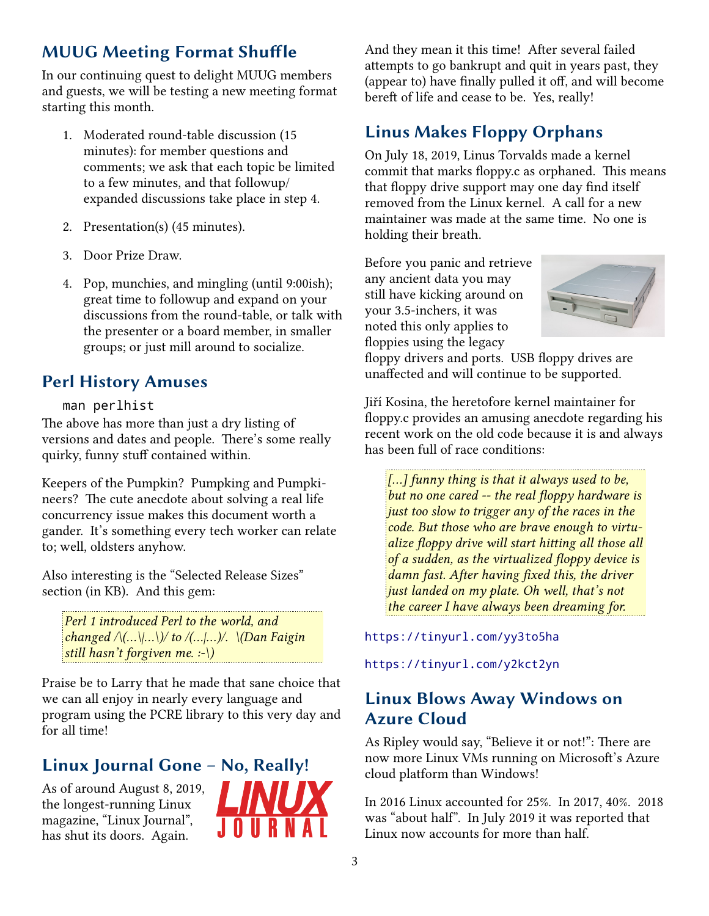# **MUUG Meeting Format Shuffle**

In our continuing quest to delight MUUG members and guests, we will be testing a new meeting format starting this month.

- 1. Moderated round-table discussion (15 minutes): for member questions and comments; we ask that each topic be limited to a few minutes, and that followup/ expanded discussions take place in step 4.
- 2. Presentation(s) (45 minutes).
- 3. Door Prize Draw.
- 4. Pop, munchies, and mingling (until 9:00ish); great time to followup and expand on your discussions from the round-table, or talk with the presenter or a board member, in smaller groups; or just mill around to socialize.

# **Perl History Amuses**

#### man perlhist

The above has more than just a dry listing of versions and dates and people. There's some really quirky, funny stuff contained within.

Keepers of the Pumpkin? Pumpking and Pumpkineers? The cute anecdote about solving a real life concurrency issue makes this document worth a gander. It's something every tech worker can relate to; well, oldsters anyhow.

Also interesting is the "Selected Release Sizes" section (in KB). And this gem:

*Perl 1 introduced Perl to the world, and changed /\(...\|...\)/ to /(...|...)/. \(Dan Faigin still hasn't forgiven me. :-\)*

Praise be to Larry that he made that sane choice that we can all enjoy in nearly every language and program using the PCRE library to this very day and for all time!

# **Linux Journal Gone – No, Really!**

As of around August 8, 2019, the longest-running Linux magazine, "Linux Journal", has shut its doors. Again.



And they mean it this time! After several failed attempts to go bankrupt and quit in years past, they (appear to) have finally pulled it off, and will become bereft of life and cease to be. Yes, really!

# **Linus Makes Floppy Orphans**

On July 18, 2019, Linus Torvalds made a kernel commit that marks floppy.c as orphaned. This means that floppy drive support may one day find itself removed from the Linux kernel. A call for a new maintainer was made at the same time. No one is holding their breath.

Before you panic and retrieve any ancient data you may still have kicking around on your 3.5-inchers, it was noted this only applies to floppies using the legacy



floppy drivers and ports. USB floppy drives are unaffected and will continue to be supported.

Jiří Kosina, the heretofore kernel maintainer for floppy.c provides an amusing anecdote regarding his recent work on the old code because it is and always has been full of race conditions:

*[...] funny thing is that it always used to be, but no one cared -- the real floppy hardware is just too slow to trigger any of the races in the code. But those who are brave enough to virtualize floppy drive will start hitting all those all of a sudden, as the virtualized floppy device is damn fast. After having fixed this, the driver just landed on my plate. Oh well, that's not the career I have always been dreaming for.*

#### <https://tinyurl.com/yy3to5ha>

<https://tinyurl.com/y2kct2yn>

#### **Linux Blows Away Windows on Azure Cloud**

As Ripley would say, "Believe it or not!": There are now more Linux VMs running on Microsoft's Azure cloud platform than Windows!

In 2016 Linux accounted for 25%. In 2017, 40%. 2018 was "about half". In July 2019 it was reported that Linux now accounts for more than half.